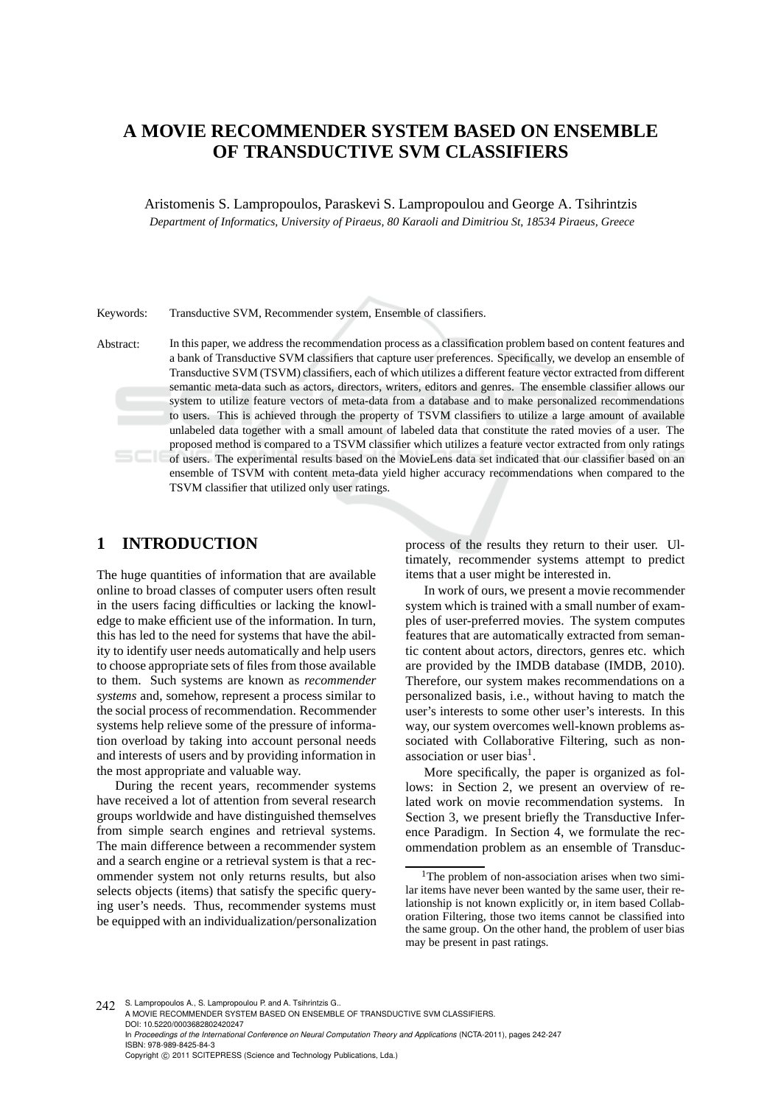## **A MOVIE RECOMMENDER SYSTEM BASED ON ENSEMBLE OF TRANSDUCTIVE SVM CLASSIFIERS**

Aristomenis S. Lampropoulos, Paraskevi S. Lampropoulou and George A. Tsihrintzis *Department of Informatics, University of Piraeus, 80 Karaoli and Dimitriou St, 18534 Piraeus, Greece*

Keywords: Transductive SVM, Recommender system, Ensemble of classifiers.

Abstract: In this paper, we address the recommendation process as a classification problem based on content features and a bank of Transductive SVM classifiers that capture user preferences. Specifically, we develop an ensemble of Transductive SVM (TSVM) classifiers, each of which utilizes a different feature vector extracted from different semantic meta-data such as actors, directors, writers, editors and genres. The ensemble classifier allows our system to utilize feature vectors of meta-data from a database and to make personalized recommendations to users. This is achieved through the property of TSVM classifiers to utilize a large amount of available unlabeled data together with a small amount of labeled data that constitute the rated movies of a user. The proposed method is compared to a TSVM classifier which utilizes a feature vector extracted from only ratings of users. The experimental results based on the MovieLens data set indicated that our classifier based on an ensemble of TSVM with content meta-data yield higher accuracy recommendations when compared to the TSVM classifier that utilized only user ratings.

## **1 INTRODUCTION**

The huge quantities of information that are available online to broad classes of computer users often result in the users facing difficulties or lacking the knowledge to make efficient use of the information. In turn, this has led to the need for systems that have the ability to identify user needs automatically and help users to choose appropriate sets of files from those available to them. Such systems are known as *recommender systems* and, somehow, represent a process similar to the social process of recommendation. Recommender systems help relieve some of the pressure of information overload by taking into account personal needs and interests of users and by providing information in the most appropriate and valuable way.

During the recent years, recommender systems have received a lot of attention from several research groups worldwide and have distinguished themselves from simple search engines and retrieval systems. The main difference between a recommender system and a search engine or a retrieval system is that a recommender system not only returns results, but also selects objects (items) that satisfy the specific querying user's needs. Thus, recommender systems must be equipped with an individualization/personalization process of the results they return to their user. Ultimately, recommender systems attempt to predict items that a user might be interested in.

In work of ours, we present a movie recommender system which is trained with a small number of examples of user-preferred movies. The system computes features that are automatically extracted from semantic content about actors, directors, genres etc. which are provided by the IMDB database (IMDB, 2010). Therefore, our system makes recommendations on a personalized basis, i.e., without having to match the user's interests to some other user's interests. In this way, our system overcomes well-known problems associated with Collaborative Filtering, such as nonassociation or user bias<sup>1</sup>.

More specifically, the paper is organized as follows: in Section 2, we present an overview of related work on movie recommendation systems. In Section 3, we present briefly the Transductive Inference Paradigm. In Section 4, we formulate the recommendation problem as an ensemble of Transduc-

242 S. Lampropoulos A., S. Lampropoulou P. and A. Tsihrintzis G. A MOVIE RECOMMENDER SYSTEM BASED ON ENSEMBLE OF TRANSDUCTIVE SVM CLASSIFIERS. DOI: 10.5220/0003682802420247 In *Proceedings of the International Conference on Neural Computation Theory and Applications* (NCTA-2011), pages 242-247 ISBN: 978-989-8425-84-3 Copyright © 2011 SCITEPRESS (Science and Technology Publications, Lda.)

<sup>&</sup>lt;sup>1</sup>The problem of non-association arises when two similar items have never been wanted by the same user, their relationship is not known explicitly or, in item based Collaboration Filtering, those two items cannot be classified into the same group. On the other hand, the problem of user bias may be present in past ratings.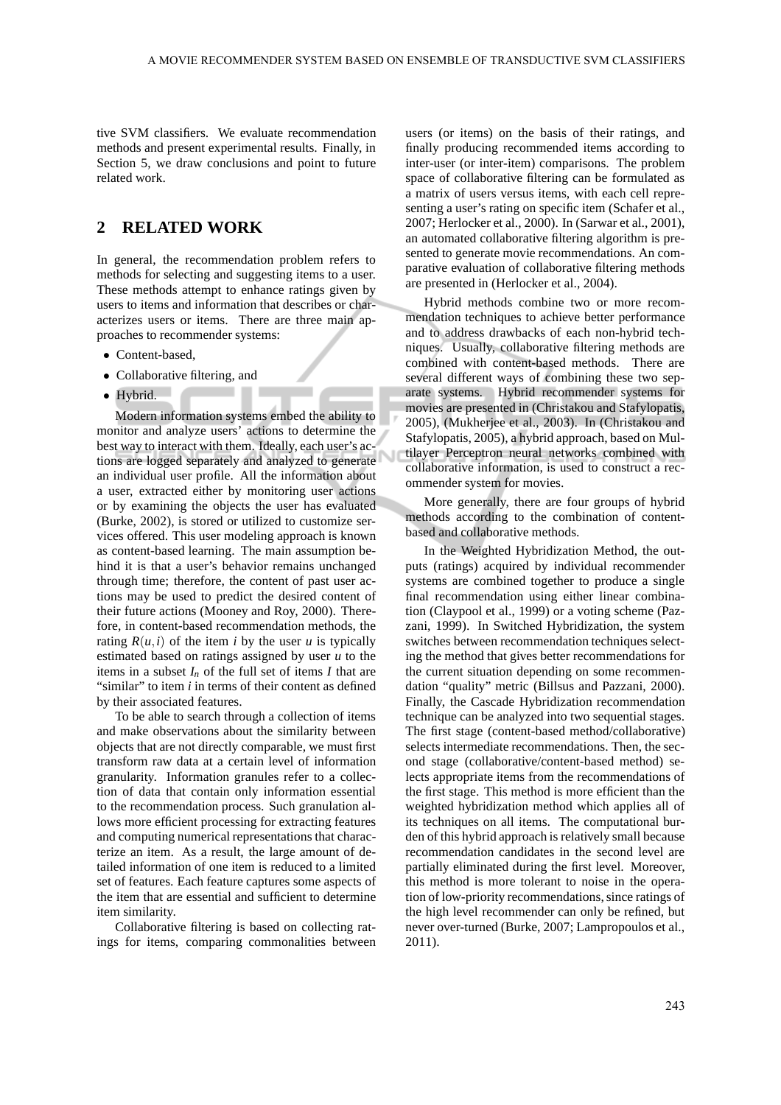tive SVM classifiers. We evaluate recommendation methods and present experimental results. Finally, in Section 5, we draw conclusions and point to future related work.

### **2 RELATED WORK**

In general, the recommendation problem refers to methods for selecting and suggesting items to a user. These methods attempt to enhance ratings given by users to items and information that describes or characterizes users or items. There are three main approaches to recommender systems:

**Contract Contract** 

- Content-based,
- Collaborative filtering, and
- Hybrid.

Modern information systems embed the ability to monitor and analyze users' actions to determine the best way to interact with them. Ideally, each user's actions are logged separately and analyzed to generate an individual user profile. All the information about a user, extracted either by monitoring user actions or by examining the objects the user has evaluated (Burke, 2002), is stored or utilized to customize services offered. This user modeling approach is known as content-based learning. The main assumption behind it is that a user's behavior remains unchanged through time; therefore, the content of past user actions may be used to predict the desired content of their future actions (Mooney and Roy, 2000). Therefore, in content-based recommendation methods, the rating  $R(u, i)$  of the item *i* by the user *u* is typically estimated based on ratings assigned by user *u* to the items in a subset  $I_n$  of the full set of items  $I$  that are "similar" to item *i* in terms of their content as defined by their associated features.

To be able to search through a collection of items and make observations about the similarity between objects that are not directly comparable, we must first transform raw data at a certain level of information granularity. Information granules refer to a collection of data that contain only information essential to the recommendation process. Such granulation allows more efficient processing for extracting features and computing numerical representations that characterize an item. As a result, the large amount of detailed information of one item is reduced to a limited set of features. Each feature captures some aspects of the item that are essential and sufficient to determine item similarity.

Collaborative filtering is based on collecting ratings for items, comparing commonalities between users (or items) on the basis of their ratings, and finally producing recommended items according to inter-user (or inter-item) comparisons. The problem space of collaborative filtering can be formulated as a matrix of users versus items, with each cell representing a user's rating on specific item (Schafer et al., 2007; Herlocker et al., 2000). In (Sarwar et al., 2001), an automated collaborative filtering algorithm is presented to generate movie recommendations. An comparative evaluation of collaborative filtering methods are presented in (Herlocker et al., 2004).

Hybrid methods combine two or more recommendation techniques to achieve better performance and to address drawbacks of each non-hybrid techniques. Usually, collaborative filtering methods are combined with content-based methods. There are several different ways of combining these two separate systems. Hybrid recommender systems for movies are presented in (Christakou and Stafylopatis, 2005), (Mukherjee et al., 2003). In (Christakou and Stafylopatis, 2005), a hybrid approach, based on Multilayer Perceptron neural networks combined with collaborative information, is used to construct a recommender system for movies.

More generally, there are four groups of hybrid methods according to the combination of contentbased and collaborative methods.

In the Weighted Hybridization Method, the outputs (ratings) acquired by individual recommender systems are combined together to produce a single final recommendation using either linear combination (Claypool et al., 1999) or a voting scheme (Pazzani, 1999). In Switched Hybridization, the system switches between recommendation techniques selecting the method that gives better recommendations for the current situation depending on some recommendation "quality" metric (Billsus and Pazzani, 2000). Finally, the Cascade Hybridization recommendation technique can be analyzed into two sequential stages. The first stage (content-based method/collaborative) selects intermediate recommendations. Then, the second stage (collaborative/content-based method) selects appropriate items from the recommendations of the first stage. This method is more efficient than the weighted hybridization method which applies all of its techniques on all items. The computational burden of this hybrid approach is relatively small because recommendation candidates in the second level are partially eliminated during the first level. Moreover, this method is more tolerant to noise in the operation of low-priority recommendations, since ratings of the high level recommender can only be refined, but never over-turned (Burke, 2007; Lampropoulos et al., 2011).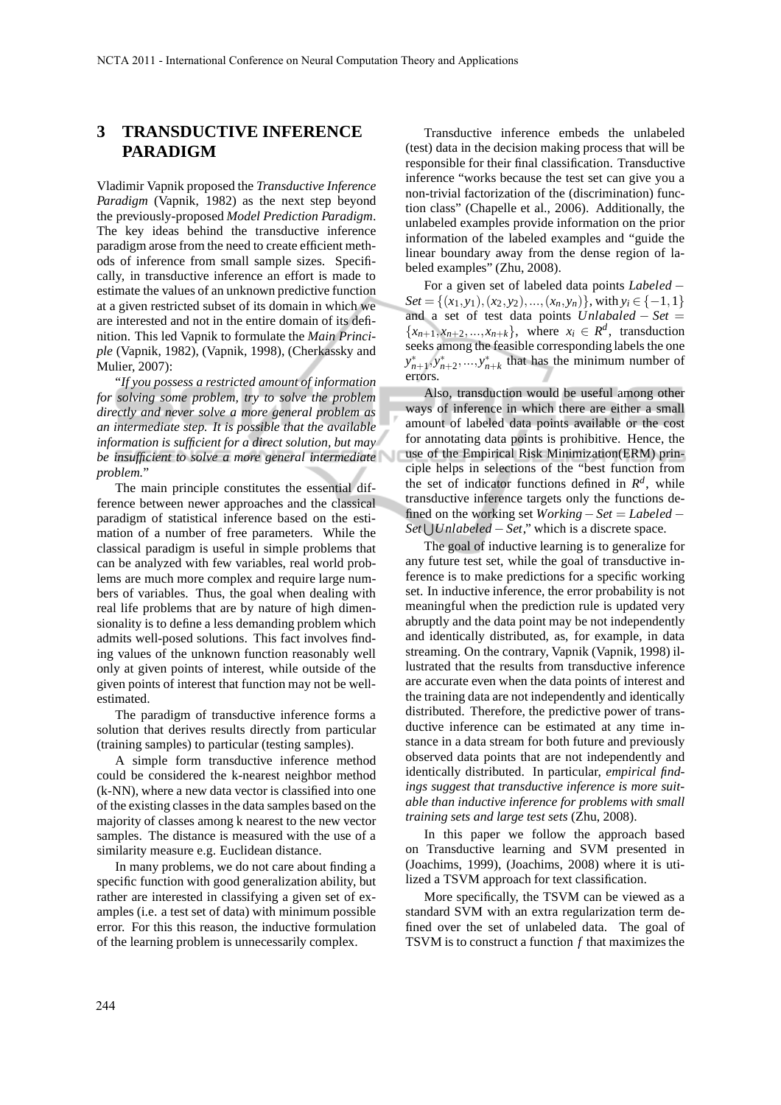## **3 TRANSDUCTIVE INFERENCE PARADIGM**

Vladimir Vapnik proposed the *Transductive Inference Paradigm* (Vapnik, 1982) as the next step beyond the previously-proposed *Model Prediction Paradigm*. The key ideas behind the transductive inference paradigm arose from the need to create efficient methods of inference from small sample sizes. Specifically, in transductive inference an effort is made to estimate the values of an unknown predictive function at a given restricted subset of its domain in which we are interested and not in the entire domain of its definition. This led Vapnik to formulate the *Main Principle* (Vapnik, 1982), (Vapnik, 1998), (Cherkassky and Mulier, 2007):

"*If you possess a restricted amount of information for solving some problem, try to solve the problem directly and never solve a more general problem as an intermediate step. It is possible that the available information is sufficient for a direct solution, but may be insufficient to solve a more general intermediate problem.*"

The main principle constitutes the essential difference between newer approaches and the classical paradigm of statistical inference based on the estimation of a number of free parameters. While the classical paradigm is useful in simple problems that can be analyzed with few variables, real world problems are much more complex and require large numbers of variables. Thus, the goal when dealing with real life problems that are by nature of high dimensionality is to define a less demanding problem which admits well-posed solutions. This fact involves finding values of the unknown function reasonably well only at given points of interest, while outside of the given points of interest that function may not be wellestimated.

The paradigm of transductive inference forms a solution that derives results directly from particular (training samples) to particular (testing samples).

A simple form transductive inference method could be considered the k-nearest neighbor method (k-NN), where a new data vector is classified into one of the existing classes in the data samples based on the majority of classes among k nearest to the new vector samples. The distance is measured with the use of a similarity measure e.g. Euclidean distance.

In many problems, we do not care about finding a specific function with good generalization ability, but rather are interested in classifying a given set of examples (i.e. a test set of data) with minimum possible error. For this this reason, the inductive formulation of the learning problem is unnecessarily complex.

Transductive inference embeds the unlabeled (test) data in the decision making process that will be responsible for their final classification. Transductive inference "works because the test set can give you a non-trivial factorization of the (discrimination) function class" (Chapelle et al., 2006). Additionally, the unlabeled examples provide information on the prior information of the labeled examples and "guide the linear boundary away from the dense region of labeled examples" (Zhu, 2008).

For a given set of labeled data points *Labeled* −  $Set = \{(x_1, y_1), (x_2, y_2), ..., (x_n, y_n)\}$ , with  $y_i \in \{-1, 1\}$ and a set of test data points *Unlabaled* − *Set* =  ${x_{n+1}, x_{n+2},...,x_{n+k}}$ , where  $x_i \in R^d$ , transduction seeks among the feasible corresponding labels the one  $y_{n+1}^*$ ,  $y_{n+2}^*$ ,  $..., y_{n+k}^*$  that has the minimum number of errors.

Also, transduction would be useful among other ways of inference in which there are either a small amount of labeled data points available or the cost for annotating data points is prohibitive. Hence, the use of the Empirical Risk Minimization(ERM) principle helps in selections of the "best function from the set of indicator functions defined in  $R<sup>d</sup>$ , while transductive inference targets only the functions defined on the working set *Working*−*Set* = *Labeled* − *Set* ∪ *Unlabeled* – *Set*," which is a discrete space.

The goal of inductive learning is to generalize for any future test set, while the goal of transductive inference is to make predictions for a specific working set. In inductive inference, the error probability is not meaningful when the prediction rule is updated very abruptly and the data point may be not independently and identically distributed, as, for example, in data streaming. On the contrary, Vapnik (Vapnik, 1998) illustrated that the results from transductive inference are accurate even when the data points of interest and the training data are not independently and identically distributed. Therefore, the predictive power of transductive inference can be estimated at any time instance in a data stream for both future and previously observed data points that are not independently and identically distributed. In particular, *empirical findings suggest that transductive inference is more suitable than inductive inference for problems with small training sets and large test sets* (Zhu, 2008).

In this paper we follow the approach based on Transductive learning and SVM presented in (Joachims, 1999), (Joachims, 2008) where it is utilized a TSVM approach for text classification.

More specifically, the TSVM can be viewed as a standard SVM with an extra regularization term defined over the set of unlabeled data. The goal of TSVM is to construct a function *f* that maximizes the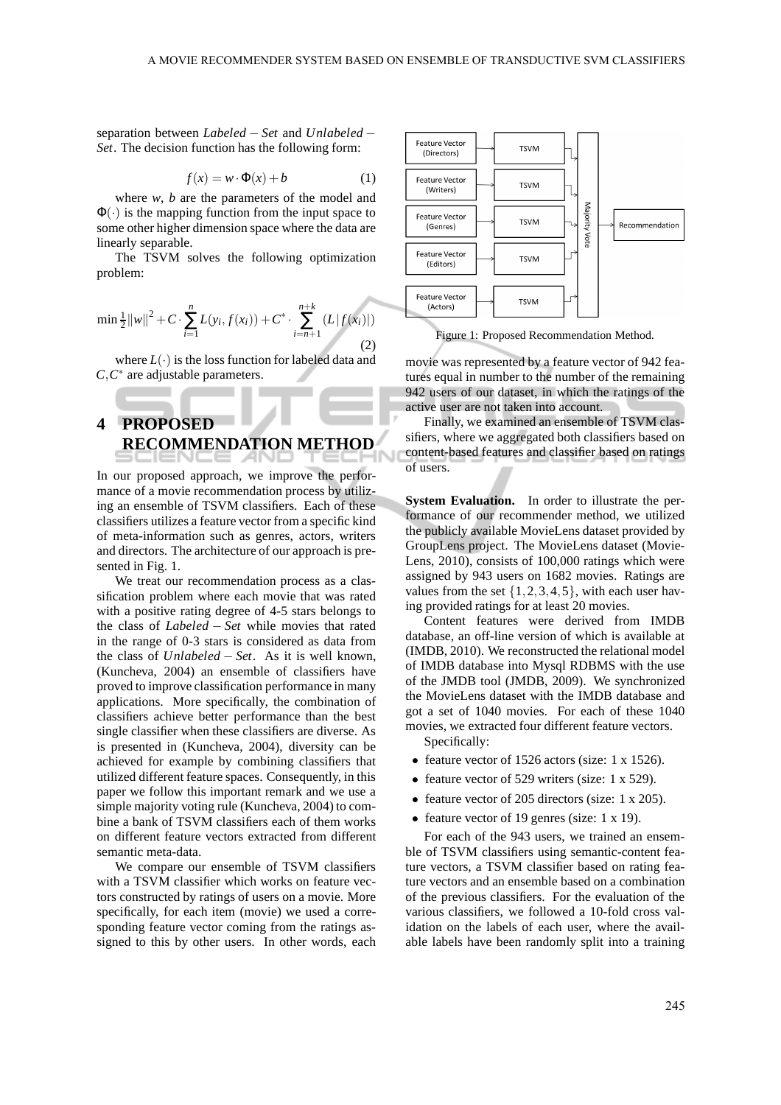separation between *Labeled* − *Set* and *Unlabeled* − *Set*. The decision function has the following form:

$$
f(x) = w \cdot \Phi(x) + b \tag{1}
$$

where *w*, *b* are the parameters of the model and  $\Phi(\cdot)$  is the mapping function from the input space to some other higher dimension space where the data are linearly separable.

The TSVM solves the following optimization problem:

$$
\min \frac{1}{2} ||w||^2 + C \cdot \sum_{i=1}^n L(y_i, f(x_i)) + C^* \cdot \sum_{i=n+1}^{n+k} (L |f(x_i)|)
$$
\n(2)

where  $L(\cdot)$  is the loss function for labeled data and  $C, C^*$  are adjustable parameters.

# **4 PROPOSED RECOMMENDATION METHOD**

In our proposed approach, we improve the performance of a movie recommendation process by utilizing an ensemble of TSVM classifiers. Each of these classifiers utilizes a feature vector from a specific kind of meta-information such as genres, actors, writers and directors. The architecture of our approach is presented in Fig. 1.

We treat our recommendation process as a classification problem where each movie that was rated with a positive rating degree of 4-5 stars belongs to the class of *Labeled* − *Set* while movies that rated in the range of 0-3 stars is considered as data from the class of *Unlabeled* − *Set*. As it is well known, (Kuncheva, 2004) an ensemble of classifiers have proved to improve classification performance in many applications. More specifically, the combination of classifiers achieve better performance than the best single classifier when these classifiers are diverse. As is presented in (Kuncheva, 2004), diversity can be achieved for example by combining classifiers that utilized different feature spaces. Consequently, in this paper we follow this important remark and we use a simple majority voting rule (Kuncheva, 2004) to combine a bank of TSVM classifiers each of them works on different feature vectors extracted from different semantic meta-data.

We compare our ensemble of TSVM classifiers with a TSVM classifier which works on feature vectors constructed by ratings of users on a movie. More specifically, for each item (movie) we used a corresponding feature vector coming from the ratings assigned to this by other users. In other words, each



Figure 1: Proposed Recommendation Method.

movie was represented by a feature vector of 942 features equal in number to the number of the remaining 942 users of our dataset, in which the ratings of the active user are not taken into account.

Finally, we examined an ensemble of TSVM classifiers, where we aggregated both classifiers based on content-based features and classifier based on ratings of users.

**System Evaluation.** In order to illustrate the performance of our recommender method, we utilized the publicly available MovieLens dataset provided by GroupLens project. The MovieLens dataset (Movie-Lens, 2010), consists of 100,000 ratings which were assigned by 943 users on 1682 movies. Ratings are values from the set  $\{1,2,3,4,5\}$ , with each user having provided ratings for at least 20 movies.

Content features were derived from IMDB database, an off-line version of which is available at (IMDB, 2010). We reconstructed the relational model of IMDB database into Mysql RDBMS with the use of the JMDB tool (JMDB, 2009). We synchronized the MovieLens dataset with the IMDB database and got a set of 1040 movies. For each of these 1040 movies, we extracted four different feature vectors.

Specifically:

- feature vector of 1526 actors (size: 1 x 1526).
- feature vector of 529 writers (size: 1 x 529).
- feature vector of 205 directors (size: 1 x 205).
- feature vector of 19 genres (size: 1 x 19).

For each of the 943 users, we trained an ensemble of TSVM classifiers using semantic-content feature vectors, a TSVM classifier based on rating feature vectors and an ensemble based on a combination of the previous classifiers. For the evaluation of the various classifiers, we followed a 10-fold cross validation on the labels of each user, where the available labels have been randomly split into a training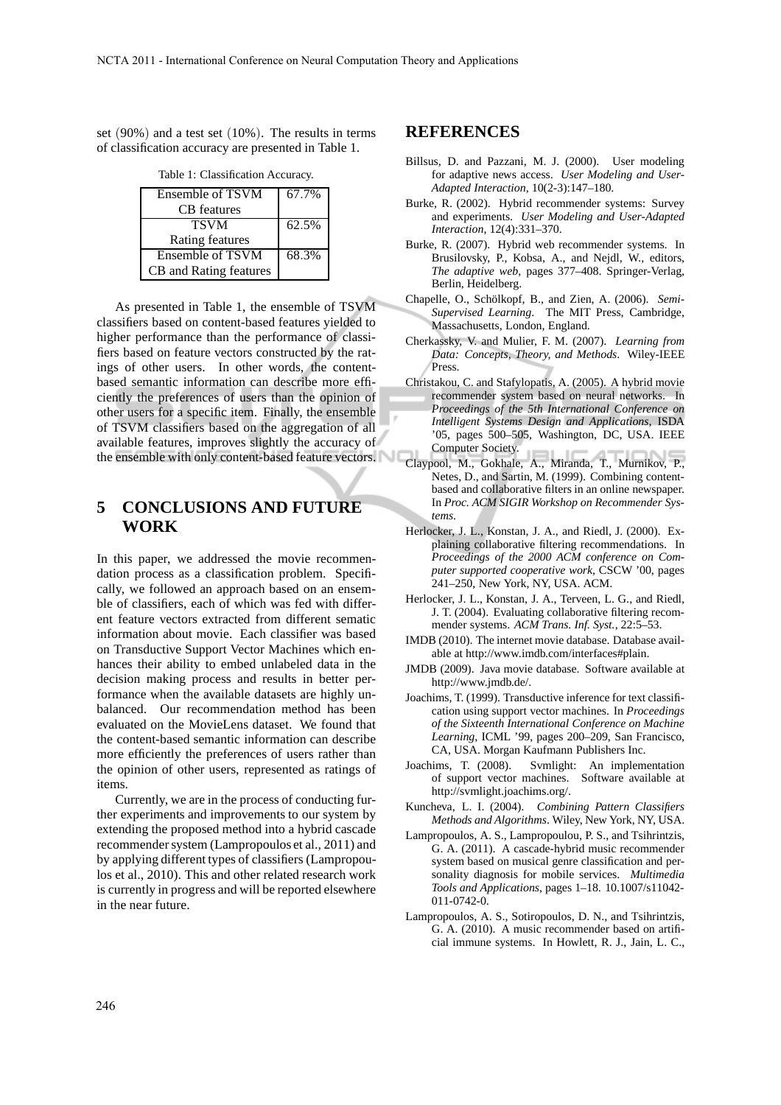set (90%) and a test set (10%). The results in terms of classification accuracy are presented in Table 1.

Table 1: Classification Accuracy.

| Ensemble of TSVM        | 67.7% |
|-------------------------|-------|
| CB features             |       |
| <b>TSVM</b>             | 62.5% |
| Rating features         |       |
| <b>Ensemble of TSVM</b> | 68.3% |
| CB and Rating features  |       |

As presented in Table 1, the ensemble of TSVM classifiers based on content-based features yielded to higher performance than the performance of classifiers based on feature vectors constructed by the ratings of other users. In other words, the contentbased semantic information can describe more efficiently the preferences of users than the opinion of other users for a specific item. Finally, the ensemble of TSVM classifiers based on the aggregation of all available features, improves slightly the accuracy of the ensemble with only content-based feature vectors.

### **5 CONCLUSIONS AND FUTURE WORK**

In this paper, we addressed the movie recommendation process as a classification problem. Specifically, we followed an approach based on an ensemble of classifiers, each of which was fed with different feature vectors extracted from different sematic information about movie. Each classifier was based on Transductive Support Vector Machines which enhances their ability to embed unlabeled data in the decision making process and results in better performance when the available datasets are highly unbalanced. Our recommendation method has been evaluated on the MovieLens dataset. We found that the content-based semantic information can describe more efficiently the preferences of users rather than the opinion of other users, represented as ratings of items.

Currently, we are in the process of conducting further experiments and improvements to our system by extending the proposed method into a hybrid cascade recommender system (Lampropoulos et al., 2011) and by applying different types of classifiers (Lampropoulos et al., 2010). This and other related research work is currently in progress and will be reported elsewhere in the near future.

#### **REFERENCES**

- Billsus, D. and Pazzani, M. J. (2000). User modeling for adaptive news access. *User Modeling and User-Adapted Interaction*, 10(2-3):147–180.
- Burke, R. (2002). Hybrid recommender systems: Survey and experiments. *User Modeling and User-Adapted Interaction*, 12(4):331–370.
- Burke, R. (2007). Hybrid web recommender systems. In Brusilovsky, P., Kobsa, A., and Nejdl, W., editors, *The adaptive web*, pages 377–408. Springer-Verlag, Berlin, Heidelberg.
- Chapelle, O., Schölkopf, B., and Zien, A. (2006). *Semi-Supervised Learning*. The MIT Press, Cambridge, Massachusetts, London, England.
- Cherkassky, V. and Mulier, F. M. (2007). *Learning from Data: Concepts, Theory, and Methods*. Wiley-IEEE Press.
- Christakou, C. and Stafylopatis, A. (2005). A hybrid movie recommender system based on neural networks. In *Proceedings of the 5th International Conference on Intelligent Systems Design and Applications*, ISDA '05, pages 500–505, Washington, DC, USA. IEEE Computer Society.
- Claypool, M., Gokhale, A., Miranda, T., Murnikov, P., Netes, D., and Sartin, M. (1999). Combining contentbased and collaborative filters in an online newspaper. In *Proc. ACM SIGIR Workshop on Recommender Systems*.
- Herlocker, J. L., Konstan, J. A., and Riedl, J. (2000). Explaining collaborative filtering recommendations. In *Proceedings of the 2000 ACM conference on Computer supported cooperative work*, CSCW '00, pages 241–250, New York, NY, USA. ACM.
- Herlocker, J. L., Konstan, J. A., Terveen, L. G., and Riedl, J. T. (2004). Evaluating collaborative filtering recommender systems. *ACM Trans. Inf. Syst.*, 22:5–53.
- IMDB (2010). The internet movie database. Database available at http://www.imdb.com/interfaces#plain.
- JMDB (2009). Java movie database. Software available at http://www.jmdb.de/.
- Joachims, T. (1999). Transductive inference for text classification using support vector machines. In *Proceedings of the Sixteenth International Conference on Machine Learning*, ICML '99, pages 200–209, San Francisco, CA, USA. Morgan Kaufmann Publishers Inc.
- Joachims, T. (2008). Svmlight: An implementation of support vector machines. Software available at http://svmlight.joachims.org/.
- Kuncheva, L. I. (2004). *Combining Pattern Classifiers Methods and Algorithms*. Wiley, New York, NY, USA.
- Lampropoulos, A. S., Lampropoulou, P. S., and Tsihrintzis, G. A. (2011). A cascade-hybrid music recommender system based on musical genre classification and personality diagnosis for mobile services. *Multimedia Tools and Applications*, pages 1–18. 10.1007/s11042- 011-0742-0.
- Lampropoulos, A. S., Sotiropoulos, D. N., and Tsihrintzis, G. A. (2010). A music recommender based on artificial immune systems. In Howlett, R. J., Jain, L. C.,